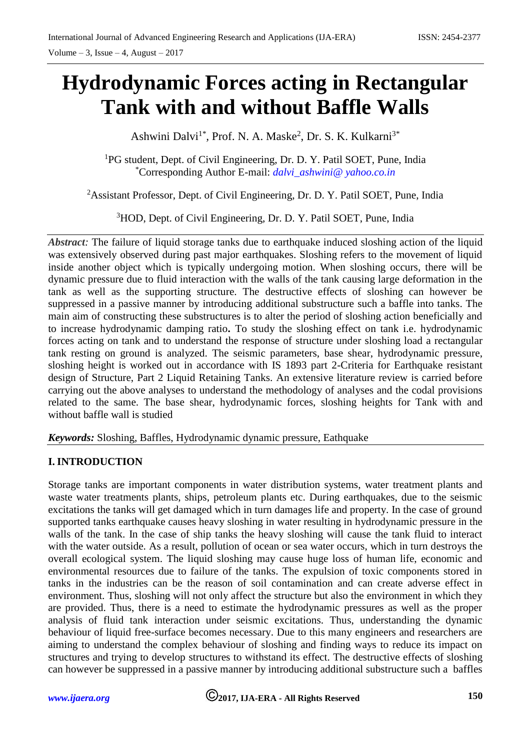# **Hydrodynamic Forces acting in Rectangular Tank with and without Baffle Walls**

Ashwini Dalvi<sup>1\*</sup>, Prof. N. A. Maske<sup>2</sup>, Dr. S. K. Kulkarni<sup>3\*</sup>

<sup>1</sup>PG student, Dept. of Civil Engineering, Dr. D. Y. Patil SOET, Pune, India \*Corresponding Author E-mail: *dalvi\_ashwini@ yahoo.co.in*

<sup>2</sup>Assistant Professor, Dept. of Civil Engineering, Dr. D. Y. Patil SOET, Pune, India

<sup>3</sup>HOD, Dept. of Civil Engineering, Dr. D. Y. Patil SOET, Pune, India

*Abstract*: The failure of liquid storage tanks due to earthquake induced sloshing action of the liquid was extensively observed during past major earthquakes. Sloshing refers to the movement of liquid inside another object which is typically undergoing motion. When sloshing occurs, there will be dynamic pressure due to fluid interaction with the walls of the tank causing large deformation in the tank as well as the supporting structure. The destructive effects of sloshing can however be suppressed in a passive manner by introducing additional substructure such a baffle into tanks. The main aim of constructing these substructures is to alter the period of sloshing action beneficially and to increase hydrodynamic damping ratio**.** To study the sloshing effect on tank i.e. hydrodynamic forces acting on tank and to understand the response of structure under sloshing load a rectangular tank resting on ground is analyzed. The seismic parameters, base shear, hydrodynamic pressure, sloshing height is worked out in accordance with IS 1893 part 2-Criteria for Earthquake resistant design of Structure, Part 2 Liquid Retaining Tanks. An extensive literature review is carried before carrying out the above analyses to understand the methodology of analyses and the codal provisions related to the same. The base shear, hydrodynamic forces, sloshing heights for Tank with and without baffle wall is studied

*Keywords:* Sloshing, Baffles, Hydrodynamic dynamic pressure, Eathquake

## **I. INTRODUCTION**

Storage tanks are important components in water distribution systems, water treatment plants and waste water treatments plants, ships, petroleum plants etc. During earthquakes, due to the seismic excitations the tanks will get damaged which in turn damages life and property. In the case of ground supported tanks earthquake causes heavy sloshing in water resulting in hydrodynamic pressure in the walls of the tank. In the case of ship tanks the heavy sloshing will cause the tank fluid to interact with the water outside. As a result, pollution of ocean or sea water occurs, which in turn destroys the overall ecological system. The liquid sloshing may cause huge loss of human life, economic and environmental resources due to failure of the tanks. The expulsion of toxic components stored in tanks in the industries can be the reason of soil contamination and can create adverse effect in environment. Thus, sloshing will not only affect the structure but also the environment in which they are provided. Thus, there is a need to estimate the hydrodynamic pressures as well as the proper analysis of fluid tank interaction under seismic excitations. Thus, understanding the dynamic behaviour of liquid free-surface becomes necessary. Due to this many engineers and researchers are aiming to understand the complex behaviour of sloshing and finding ways to reduce its impact on structures and trying to develop structures to withstand its effect. The destructive effects of sloshing can however be suppressed in a passive manner by introducing additional substructure such a baffles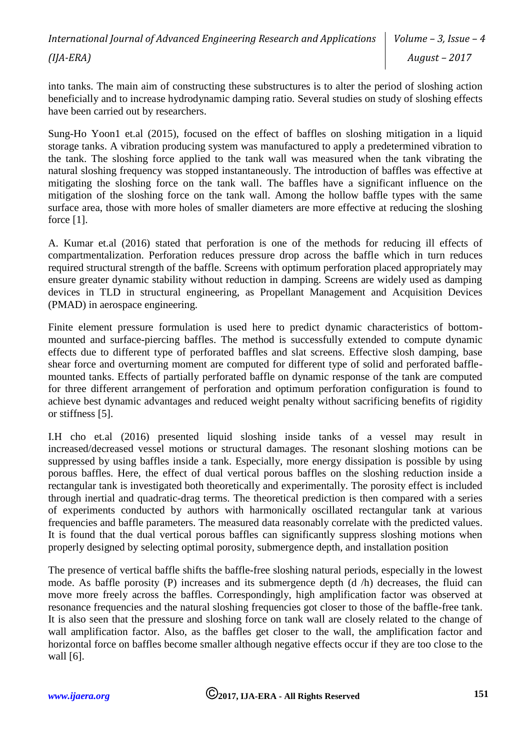*International Journal of Advanced Engineering Research and Applications (IJA-ERA) Volume – 3, Issue – 4 August – 2017*

into tanks. The main aim of constructing these substructures is to alter the period of sloshing action beneficially and to increase hydrodynamic damping ratio. Several studies on study of sloshing effects have been carried out by researchers.

Sung-Ho Yoon1 et.al (2015), focused on the effect of baffles on sloshing mitigation in a liquid storage tanks. A vibration producing system was manufactured to apply a predetermined vibration to the tank. The sloshing force applied to the tank wall was measured when the tank vibrating the natural sloshing frequency was stopped instantaneously. The introduction of baffles was effective at mitigating the sloshing force on the tank wall. The baffles have a significant influence on the mitigation of the sloshing force on the tank wall. Among the hollow baffle types with the same surface area, those with more holes of smaller diameters are more effective at reducing the sloshing force [1].

A. Kumar et.al (2016) stated that perforation is one of the methods for reducing ill effects of compartmentalization. Perforation reduces pressure drop across the baffle which in turn reduces required structural strength of the baffle. Screens with optimum perforation placed appropriately may ensure greater dynamic stability without reduction in damping. Screens are widely used as damping devices in TLD in structural engineering, as Propellant Management and Acquisition Devices (PMAD) in aerospace engineering.

Finite element pressure formulation is used here to predict dynamic characteristics of bottommounted and surface-piercing baffles. The method is successfully extended to compute dynamic effects due to different type of perforated baffles and slat screens. Effective slosh damping, base shear force and overturning moment are computed for different type of solid and perforated bafflemounted tanks. Effects of partially perforated baffle on dynamic response of the tank are computed for three different arrangement of perforation and optimum perforation configuration is found to achieve best dynamic advantages and reduced weight penalty without sacrificing benefits of rigidity or stiffness [5].

I.H cho et.al (2016) presented liquid sloshing inside tanks of a vessel may result in increased/decreased vessel motions or structural damages. The resonant sloshing motions can be suppressed by using baffles inside a tank. Especially, more energy dissipation is possible by using porous baffles. Here, the effect of dual vertical porous baffles on the sloshing reduction inside a rectangular tank is investigated both theoretically and experimentally. The porosity effect is included through inertial and quadratic-drag terms. The theoretical prediction is then compared with a series of experiments conducted by authors with harmonically oscillated rectangular tank at various frequencies and baffle parameters. The measured data reasonably correlate with the predicted values. It is found that the dual vertical porous baffles can significantly suppress sloshing motions when properly designed by selecting optimal porosity, submergence depth, and installation position

The presence of vertical baffle shifts the baffle-free sloshing natural periods, especially in the lowest mode. As baffle porosity (P) increases and its submergence depth (d /h) decreases, the fluid can move more freely across the baffles. Correspondingly, high amplification factor was observed at resonance frequencies and the natural sloshing frequencies got closer to those of the baffle-free tank. It is also seen that the pressure and sloshing force on tank wall are closely related to the change of wall amplification factor. Also, as the baffles get closer to the wall, the amplification factor and horizontal force on baffles become smaller although negative effects occur if they are too close to the wall [6].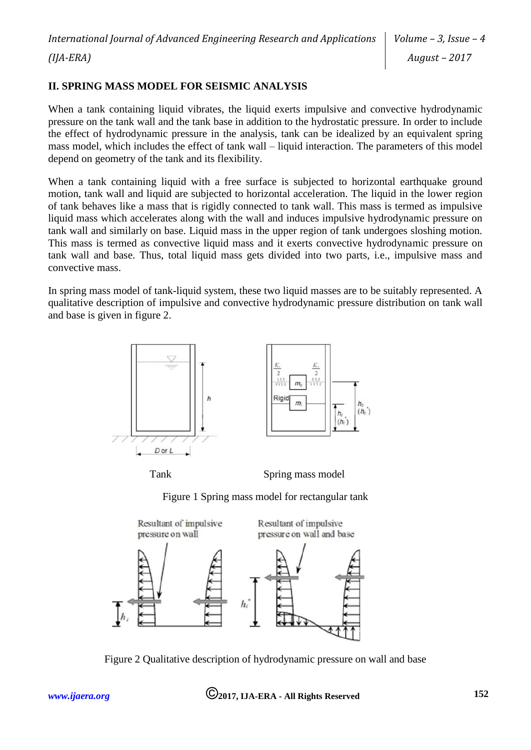## **II. SPRING MASS MODEL FOR SEISMIC ANALYSIS**

When a tank containing liquid vibrates, the liquid exerts impulsive and convective hydrodynamic pressure on the tank wall and the tank base in addition to the hydrostatic pressure. In order to include the effect of hydrodynamic pressure in the analysis, tank can be idealized by an equivalent spring mass model, which includes the effect of tank wall – liquid interaction. The parameters of this model depend on geometry of the tank and its flexibility.

When a tank containing liquid with a free surface is subjected to horizontal earthquake ground motion, tank wall and liquid are subjected to horizontal acceleration. The liquid in the lower region of tank behaves like a mass that is rigidly connected to tank wall. This mass is termed as impulsive liquid mass which accelerates along with the wall and induces impulsive hydrodynamic pressure on tank wall and similarly on base. Liquid mass in the upper region of tank undergoes sloshing motion. This mass is termed as convective liquid mass and it exerts convective hydrodynamic pressure on tank wall and base. Thus, total liquid mass gets divided into two parts, i.e., impulsive mass and convective mass.

In spring mass model of tank-liquid system, these two liquid masses are to be suitably represented. A qualitative description of impulsive and convective hydrodynamic pressure distribution on tank wall and base is given in figure 2.





Tank Spring mass model

Figure 1 Spring mass model for rectangular tank



Figure 2 Qualitative description of hydrodynamic pressure on wall and base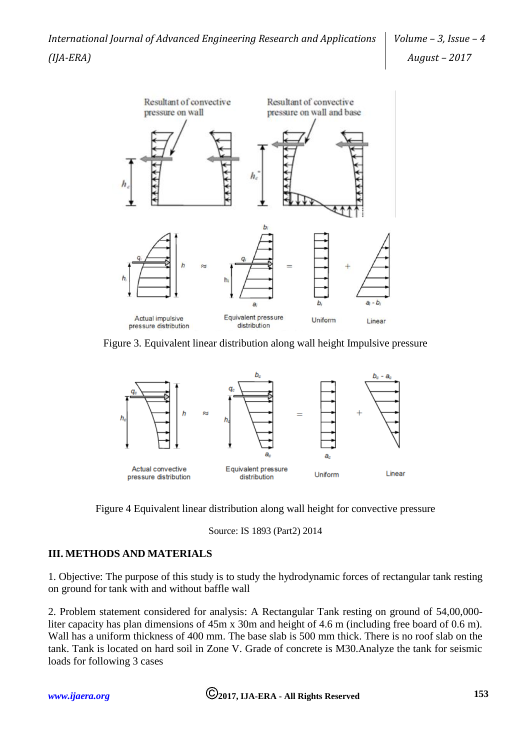

Figure 3. Equivalent linear distribution along wall height Impulsive pressure



Figure 4 Equivalent linear distribution along wall height for convective pressure

Source: IS 1893 (Part2) 2014

## **III. METHODS AND MATERIALS**

1. Objective: The purpose of this study is to study the hydrodynamic forces of rectangular tank resting on ground for tank with and without baffle wall

2. Problem statement considered for analysis: A Rectangular Tank resting on ground of 54,00,000 liter capacity has plan dimensions of 45m x 30m and height of 4.6 m (including free board of 0.6 m). Wall has a uniform thickness of 400 mm. The base slab is 500 mm thick. There is no roof slab on the tank. Tank is located on hard soil in Zone V. Grade of concrete is M30.Analyze the tank for seismic loads for following 3 cases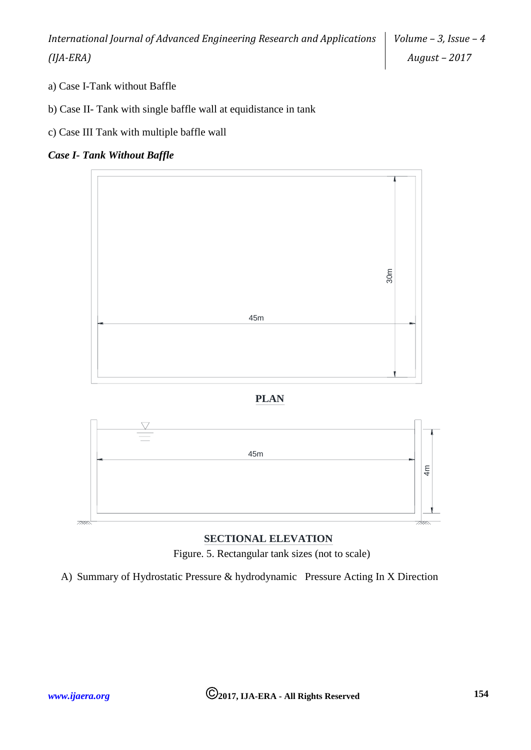*Volume – 3, Issue – 4 August – 2017*

- a) Case I-Tank without Baffle
- b) Case II- Tank with single baffle wall at equidistance in tank
- c) Case III Tank with multiple baffle wall

### *Case I- Tank Without Baffle*







## **SECTIONAL ELEVATION**

Figure. 5. Rectangular tank sizes (not to scale)

A) Summary of Hydrostatic Pressure & hydrodynamic Pressure Acting In X Direction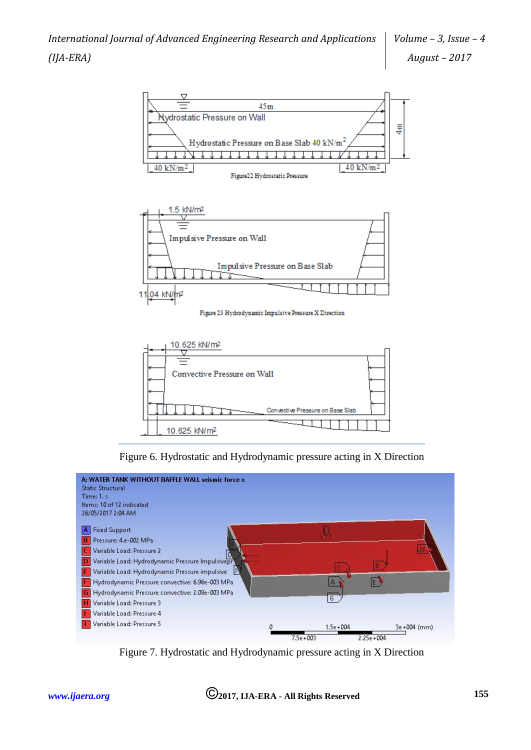



Figure 23 Hydrodynamic Impulsive Pressure X Direction



Figure 6. Hydrostatic and Hydrodynamic pressure acting in X Direction



Figure 7. Hydrostatic and Hydrodynamic pressure acting in X Direction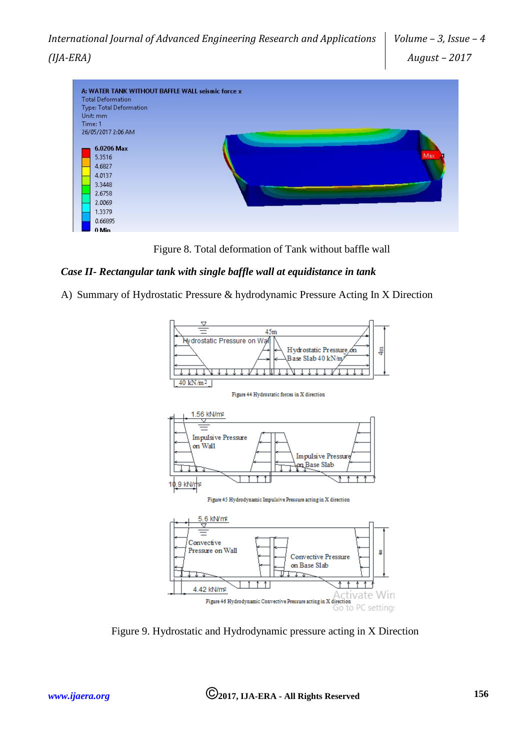

Figure 8. Total deformation of Tank without baffle wall

## *Case II- Rectangular tank with single baffle wall at equidistance in tank*

A) Summary of Hydrostatic Pressure & hydrodynamic Pressure Acting In X Direction



Figure 9. Hydrostatic and Hydrodynamic pressure acting in X Direction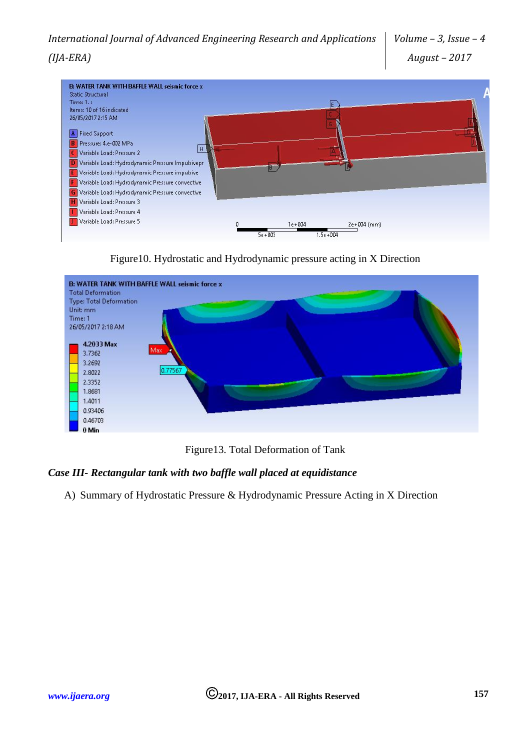

Figure10. Hydrostatic and Hydrodynamic pressure acting in X Direction



Figure13. Total Deformation of Tank

## *Case III- Rectangular tank with two baffle wall placed at equidistance*

A) Summary of Hydrostatic Pressure & Hydrodynamic Pressure Acting in X Direction

*(IJA-ERA)*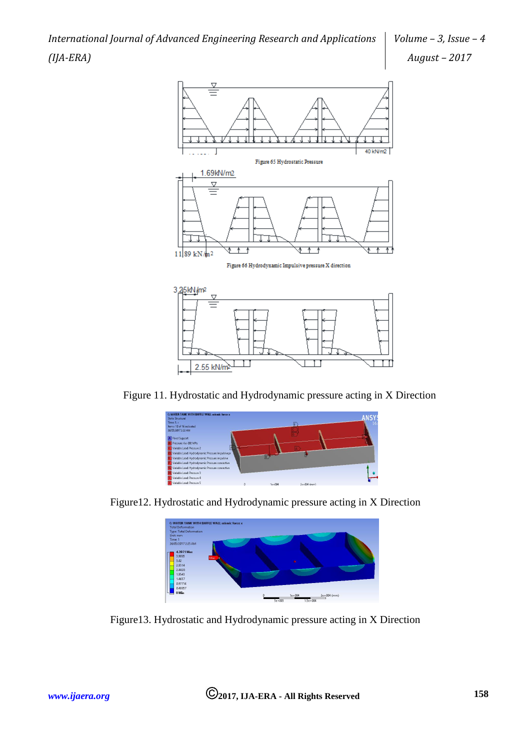*International Journal of Advanced Engineering Research and Applications (IJA-ERA)*



Figure 11. Hydrostatic and Hydrodynamic pressure acting in X Direction

 $\Box$ 

2.55 kN/m<sup>2 $\pm$ </sup>

 $\Box$ 

TT



Figure12. Hydrostatic and Hydrodynamic pressure acting in X Direction



Figure13. Hydrostatic and Hydrodynamic pressure acting in X Direction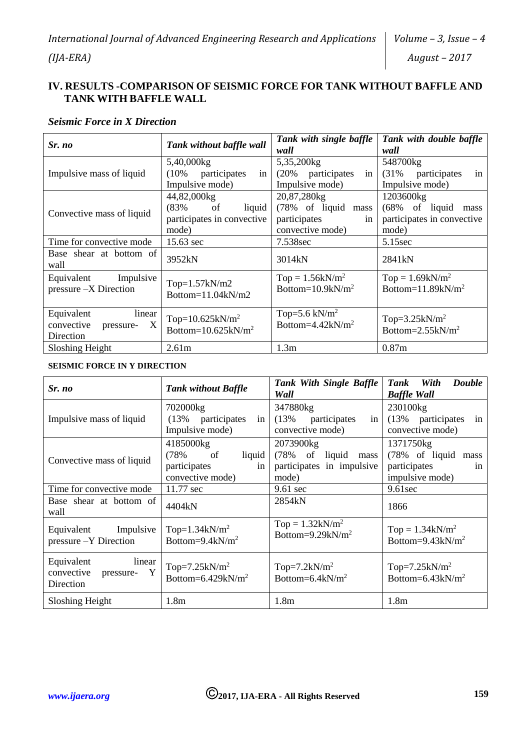## **IV. RESULTS -COMPARISON OF SEISMIC FORCE FOR TANK WITHOUT BAFFLE AND TANK WITH BAFFLE WALL**

#### *Seismic Force in X Direction*

| Sr. no                                                            | Tank without baffle wall                                                            | Tank with single baffle<br>wall                                              | Tank with double baffle<br>wall                                                        |
|-------------------------------------------------------------------|-------------------------------------------------------------------------------------|------------------------------------------------------------------------------|----------------------------------------------------------------------------------------|
| Impulsive mass of liquid                                          | 5,40,000kg<br>(10% participates<br>in<br>Impulsive mode)                            | 5,35,200kg<br>(20% participates<br>in<br>Impulsive mode)                     | 548700kg<br>(31%<br>participates<br>in<br>Impulsive mode)                              |
| Convective mass of liquid                                         | 44,82,000kg<br>$(83\% \text{ of }$<br>liquid<br>participates in convective<br>mode) | 20,87,280kg<br>(78% of liquid mass<br>participates<br>in<br>convective mode) | 1203600kg<br>$(68\% \text{ of liquid})$<br>mass<br>participates in convective<br>mode) |
| Time for convective mode                                          | 15.63 sec                                                                           | 7.538sec                                                                     | 5.15sec                                                                                |
| Base shear at bottom of<br>wall                                   | 3952kN                                                                              | 3014kN                                                                       | 2841 <sub>kN</sub>                                                                     |
| Equivalent Impulsive<br>pressure -X Direction                     | $Top=1.57kN/m2$<br>Bottom= $11.04kN/m2$                                             | $Top = 1.56kN/m^2$<br>Bottom= $10.9$ kN/m <sup>2</sup>                       | Top = $1.69$ kN/m <sup>2</sup><br>Bottom= $11.89kN/m^2$                                |
| Equivalent<br>linear<br>X<br>convective<br>pressure-<br>Direction | Top= $10.625$ kN/m <sup>2</sup><br>Bottom= $10.625kN/m^2$                           | Top=5.6 kN/ $m2$<br>Bottom=4.42 $kN/m^2$                                     | Top= $3.25$ kN/m <sup>2</sup><br>Bottom= $2.55$ kN/m <sup>2</sup>                      |
| Sloshing Height                                                   | 2.61 <sub>m</sub>                                                                   | 1.3 <sub>m</sub>                                                             | 0.87 <sub>m</sub>                                                                      |

## **SEISMIC FORCE IN Y DIRECTION**

| Sr. no                                                            | <b>Tank without Baffle</b>                                                             | Tank With Single Baffle<br>Wall                                              | With<br><b>Double</b><br><b>Tank</b><br><b>Baffle Wall</b>                   |
|-------------------------------------------------------------------|----------------------------------------------------------------------------------------|------------------------------------------------------------------------------|------------------------------------------------------------------------------|
| Impulsive mass of liquid                                          | 702000kg<br>(13%<br>participates<br>in<br>Impulsive mode)                              | 347880kg<br>(13%<br>participates<br>in<br>convective mode)                   | 230100kg<br>(13% participates<br>in<br>convective mode)                      |
| Convective mass of liquid                                         | 4185000kg<br>(78%<br>liquid<br><sub>of</sub><br>participates<br>in<br>convective mode) | 2073900kg<br>(78%<br>of liquid<br>mass<br>participates in impulsive<br>mode) | 1371750kg<br>(78% of liquid<br>mass<br>participates<br>1n<br>impulsive mode) |
| Time for convective mode                                          | 11.77 sec                                                                              | $9.61 \text{ sec}$                                                           | $9.61$ sec                                                                   |
| Base shear at bottom of<br>wall                                   | 4404kN                                                                                 | 2854kN                                                                       | 1866                                                                         |
| Equivalent Impulsive<br>pressure -Y Direction                     | Top= $1.34$ kN/m <sup>2</sup><br>Bottom=9.4k $N/m^2$                                   | $Top = 1.32kN/m^2$<br>Bottom=9.29 $kN/m^2$                                   | $Top = 1.34kN/m^2$<br>Bottom= $9.43$ kN/m <sup>2</sup>                       |
| Equivalent<br>linear<br>Y<br>convective<br>pressure-<br>Direction | Top= $7.25$ kN/m <sup>2</sup><br>Bottom= $6.429$ kN/m <sup>2</sup>                     | Top=7.2kN/ $m2$<br>Bottom= $6.4$ kN/m <sup>2</sup>                           | Top= $7.25$ kN/m <sup>2</sup><br>Bottom= $6.43$ kN/m <sup>2</sup>            |
| Sloshing Height                                                   | 1.8 <sub>m</sub>                                                                       | 1.8 <sub>m</sub>                                                             | 1.8 <sub>m</sub>                                                             |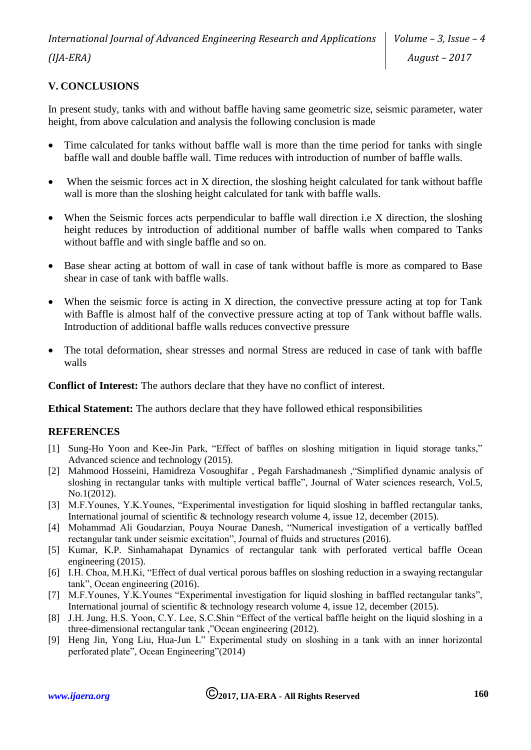# **V. CONCLUSIONS**

In present study, tanks with and without baffle having same geometric size, seismic parameter, water height, from above calculation and analysis the following conclusion is made

- Time calculated for tanks without baffle wall is more than the time period for tanks with single baffle wall and double baffle wall. Time reduces with introduction of number of baffle walls.
- When the seismic forces act in X direction, the sloshing height calculated for tank without baffle wall is more than the sloshing height calculated for tank with baffle walls.
- When the Seismic forces acts perpendicular to baffle wall direction i.e X direction, the sloshing height reduces by introduction of additional number of baffle walls when compared to Tanks without baffle and with single baffle and so on.
- Base shear acting at bottom of wall in case of tank without baffle is more as compared to Base shear in case of tank with baffle walls.
- When the seismic force is acting in X direction, the convective pressure acting at top for Tank with Baffle is almost half of the convective pressure acting at top of Tank without baffle walls. Introduction of additional baffle walls reduces convective pressure
- The total deformation, shear stresses and normal Stress are reduced in case of tank with baffle walls

**Conflict of Interest:** The authors declare that they have no conflict of interest.

**Ethical Statement:** The authors declare that they have followed ethical responsibilities

#### **REFERENCES**

- [1] Sung-Ho Yoon and Kee-Jin Park, "Effect of baffles on sloshing mitigation in liquid storage tanks," Advanced science and technology (2015).
- [2] Mahmood Hosseini, Hamidreza Vosoughifar , Pegah Farshadmanesh ,"Simplified dynamic analysis of sloshing in rectangular tanks with multiple vertical baffle", Journal of Water sciences research, Vol.5, No.1(2012).
- [3] M.F.Younes, Y.K.Younes, "Experimental investigation for liquid sloshing in baffled rectangular tanks, International journal of scientific & technology research volume 4, issue 12, december (2015).
- [4] Mohammad Ali Goudarzian, Pouya Nourae Danesh, "Numerical investigation of a vertically baffled rectangular tank under seismic excitation", Journal of fluids and structures (2016).
- [5] Kumar, K.P. Sinhamahapat Dynamics of rectangular tank with perforated vertical baffle Ocean engineering (2015).
- [6] I.H. Choa, M.H.Ki, "Effect of dual vertical porous baffles on sloshing reduction in a swaying rectangular tank", Ocean engineering (2016).
- [7] M.F.Younes, Y.K.Younes "Experimental investigation for liquid sloshing in baffled rectangular tanks", International journal of scientific & technology research volume 4, issue 12, december (2015).
- [8] J.H. Jung, H.S. Yoon, C.Y. Lee, S.C.Shin "Effect of the vertical baffle height on the liquid sloshing in a three-dimensional rectangular tank ,"Ocean engineering (2012).
- [9] Heng Jin, Yong Liu, Hua-Jun L" Experimental study on sloshing in a tank with an inner horizontal perforated plate", Ocean Engineering"(2014)